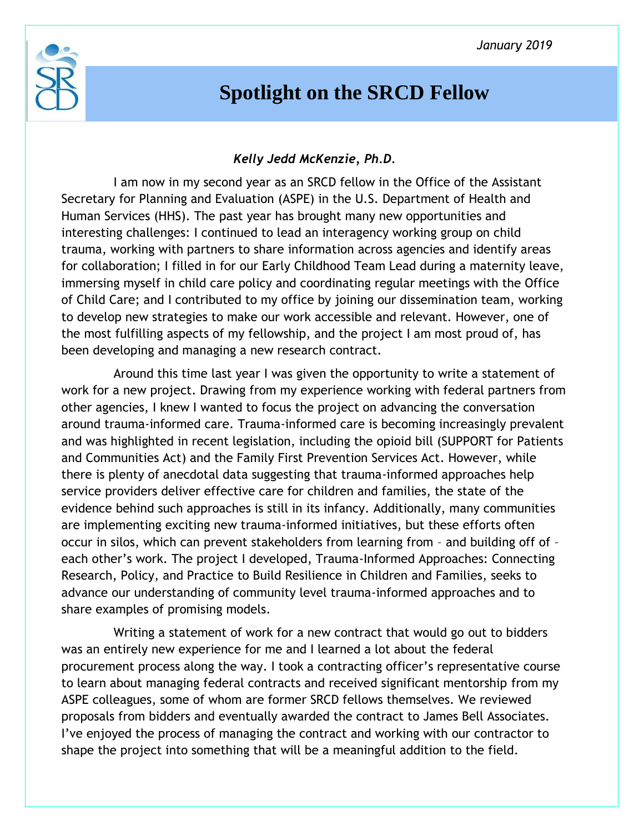

## **Spotlight on the SRCD Fellow**

## *Kelly Jedd McKenzie, Ph.D.*

I am now in my second year as an SRCD fellow in the Office of the Assistant Secretary for Planning and Evaluation (ASPE) in the U.S. Department of Health and Human Services (HHS). The past year has brought many new opportunities and interesting challenges: I continued to lead an interagency working group on child trauma, working with partners to share information across agencies and identify areas for collaboration; I filled in for our Early Childhood Team Lead during a maternity leave, immersing myself in child care policy and coordinating regular meetings with the Office of Child Care; and I contributed to my office by joining our dissemination team, working to develop new strategies to make our work accessible and relevant. However, one of the most fulfilling aspects of my fellowship, and the project I am most proud of, has been developing and managing a new research contract.

Around this time last year I was given the opportunity to write a statement of work for a new project. Drawing from my experience working with federal partners from other agencies, I knew I wanted to focus the project on advancing the conversation around trauma-informed care. Trauma-informed care is becoming increasingly prevalent and was highlighted in recent legislation, including the opioid bill (SUPPORT for Patients and Communities Act) and the Family First Prevention Services Act. However, while there is plenty of anecdotal data suggesting that trauma-informed approaches help service providers deliver effective care for children and families, the state of the evidence behind such approaches is still in its infancy. Additionally, many communities are implementing exciting new trauma-informed initiatives, but these efforts often occur in silos, which can prevent stakeholders from learning from – and building off of – each other's work. The project I developed, Trauma-Informed Approaches: Connecting Research, Policy, and Practice to Build Resilience in Children and Families, seeks to advance our understanding of community level trauma-informed approaches and to share examples of promising models.

Writing a statement of work for a new contract that would go out to bidders was an entirely new experience for me and I learned a lot about the federal procurement process along the way. I took a contracting officer's representative course to learn about managing federal contracts and received significant mentorship from my ASPE colleagues, some of whom are former SRCD fellows themselves. We reviewed proposals from bidders and eventually awarded the contract to James Bell Associates. I've enjoyed the process of managing the contract and working with our contractor to shape the project into something that will be a meaningful addition to the field.